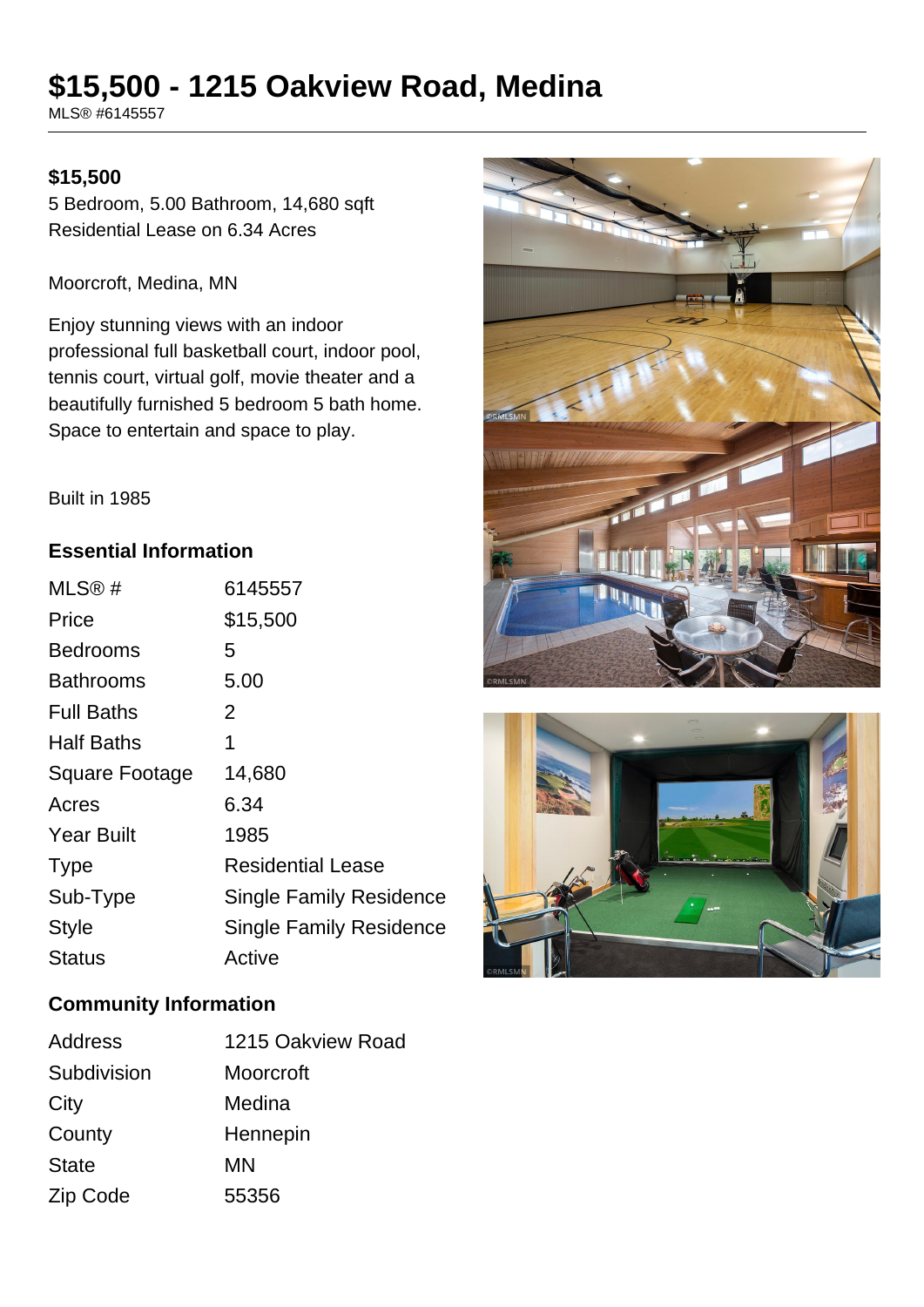# **\$15,500 - 1215 Oakview Road, Medina**

MLS® #6145557

### **\$15,500**

5 Bedroom, 5.00 Bathroom, 14,680 sqft Residential Lease on 6.34 Acres

Moorcroft, Medina, MN

Enjoy stunning views with an indoor professional full basketball court, indoor pool, tennis court, virtual golf, movie theater and a beautifully furnished 5 bedroom 5 bath home. Space to entertain and space to play.





Built in 1985

#### **Essential Information**

| MLS@#                 | 6145557                        |
|-----------------------|--------------------------------|
| Price                 | \$15,500                       |
| <b>Bedrooms</b>       | 5                              |
| <b>Bathrooms</b>      | 5.00                           |
| <b>Full Baths</b>     | 2                              |
| <b>Half Baths</b>     | 1                              |
| <b>Square Footage</b> | 14,680                         |
| Acres                 | 6.34                           |
| <b>Year Built</b>     | 1985                           |
| <b>Type</b>           | <b>Residential Lease</b>       |
| Sub-Type              | <b>Single Family Residence</b> |
| Style                 | <b>Single Family Residence</b> |
| Status                | Active                         |

### **Community Information**

| Address      | 1215 Oakview Road |
|--------------|-------------------|
| Subdivision  | Moorcroft         |
| City         | Medina            |
| County       | Hennepin          |
| <b>State</b> | ΜN                |
| Zip Code     | 55356             |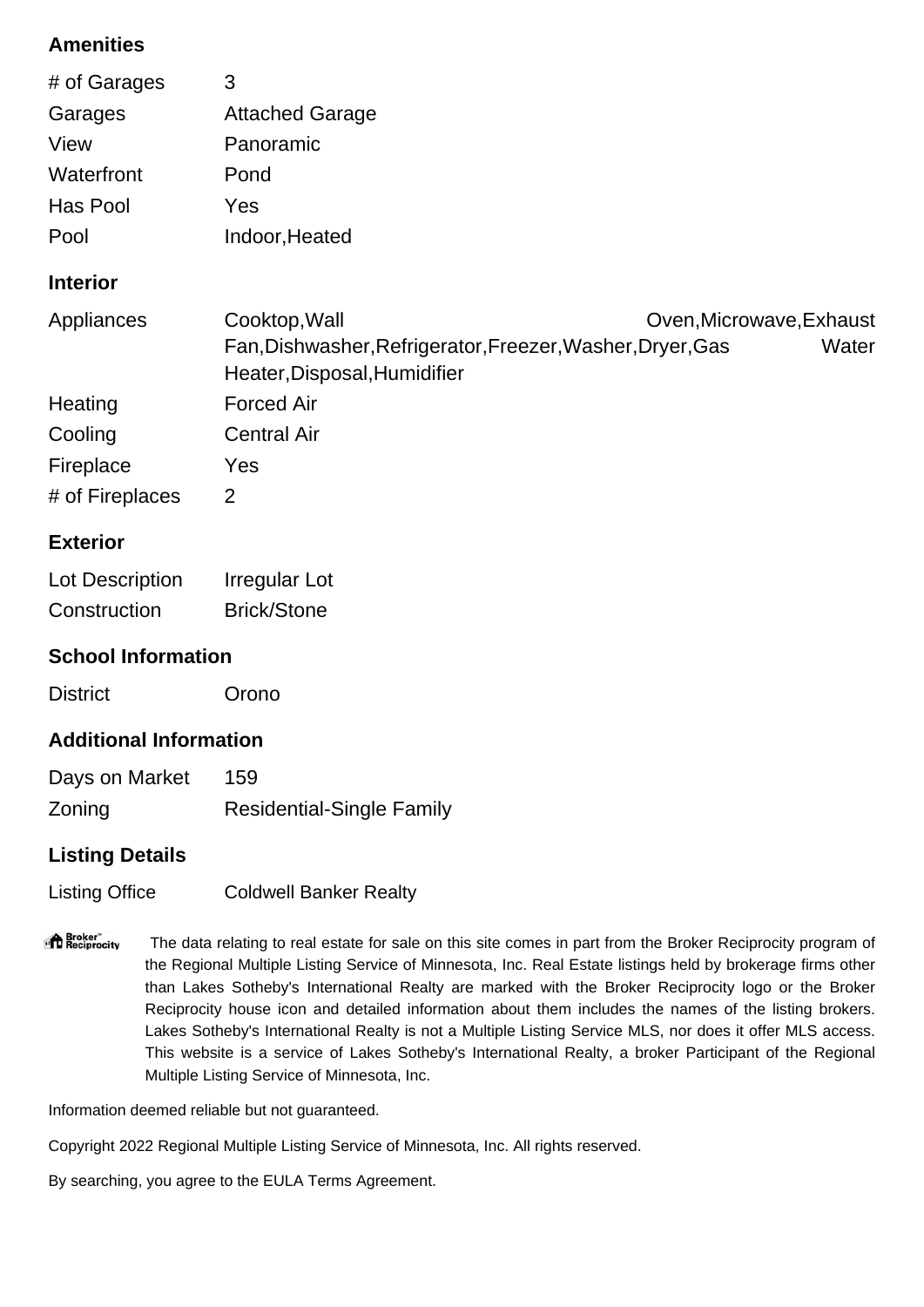# **Amenities**

| # of Garages    | 3                                                                                                           |                                   |
|-----------------|-------------------------------------------------------------------------------------------------------------|-----------------------------------|
| Garages         | <b>Attached Garage</b>                                                                                      |                                   |
| View            | Panoramic                                                                                                   |                                   |
| Waterfront      | Pond                                                                                                        |                                   |
| Has Pool        | Yes                                                                                                         |                                   |
| Pool            | Indoor, Heated                                                                                              |                                   |
| <b>Interior</b> |                                                                                                             |                                   |
| Appliances      | Cooktop, Wall<br>Fan, Dishwasher, Refrigerator, Freezer, Washer, Dryer, Gas<br>Heater, Disposal, Humidifier | Oven, Microwave, Exhaust<br>Water |
| Heating         | <b>Forced Air</b>                                                                                           |                                   |
| Cooling         | <b>Central Air</b>                                                                                          |                                   |
| Fireplace       | Yes                                                                                                         |                                   |
| # of Fireplaces | 2                                                                                                           |                                   |
| <b>Exterior</b> |                                                                                                             |                                   |

# Lot Description Irregular Lot Construction Brick/Stone

# **School Information**

District Orono

# **Additional Information**

| Days on Market | 159                              |
|----------------|----------------------------------|
| Zoning         | <b>Residential-Single Family</b> |

# **Listing Details**

Listing Office Coldwell Banker Realty

"<sup>1</sup> Broker"<br>"I Reciprocity The data relating to real estate for sale on this site comes in part from the Broker Reciprocity program of the Regional Multiple Listing Service of Minnesota, Inc. Real Estate listings held by brokerage firms other than Lakes Sotheby's International Realty are marked with the Broker Reciprocity logo or the Broker Reciprocity house icon and detailed information about them includes the names of the listing brokers. Lakes Sotheby's International Realty is not a Multiple Listing Service MLS, nor does it offer MLS access. This website is a service of Lakes Sotheby's International Realty, a broker Participant of the Regional Multiple Listing Service of Minnesota, Inc.

Information deemed reliable but not guaranteed.

Copyright 2022 Regional Multiple Listing Service of Minnesota, Inc. All rights reserved.

By searching, you agree to the EULA Terms Agreement.